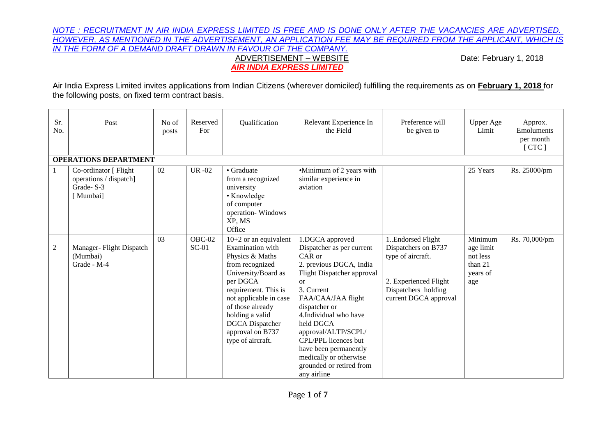#### *NOTE : RECRUITMENT IN AIR INDIA EXPRESS LIMITED IS FREE AND IS DONE ONLY AFTER THE VACANCIES ARE ADVERTISED. HOWEVER, AS MENTIONED IN THE ADVERTISEMENT, AN APPLICATION FEE MAY BE REQUIRED FROM THE APPLICANT, WHICH IS IN THE FORM OF A DEMAND DRAFT DRAWN IN FAVOUR OF THE COMPANY.* ADVERTISEMENT – WEBSITE **Date: February 1, 2018**  *AIR INDIA EXPRESS LIMITED*

Air India Express Limited invites applications from Indian Citizens (wherever domiciled) fulfilling the requirements as on **February 1, 2018** for the following posts, on fixed term contract basis.

| Sr.<br>No.     | Post                                                                     | No of<br>posts | Reserved<br>For   | Qualification                                                                                                                                                                                                                                                                    | Relevant Experience In<br>the Field                                                                                                                                                                                                                                                                                                                            | Preference will<br>be given to                                                                                                          | <b>Upper Age</b><br>Limit                                      | Approx.<br>Emoluments<br>per month<br>[CTC] |
|----------------|--------------------------------------------------------------------------|----------------|-------------------|----------------------------------------------------------------------------------------------------------------------------------------------------------------------------------------------------------------------------------------------------------------------------------|----------------------------------------------------------------------------------------------------------------------------------------------------------------------------------------------------------------------------------------------------------------------------------------------------------------------------------------------------------------|-----------------------------------------------------------------------------------------------------------------------------------------|----------------------------------------------------------------|---------------------------------------------|
|                | <b>OPERATIONS DEPARTMENT</b>                                             |                |                   |                                                                                                                                                                                                                                                                                  |                                                                                                                                                                                                                                                                                                                                                                |                                                                                                                                         |                                                                |                                             |
|                | Co-ordinator [ Flight<br>operations / dispatch]<br>Grade-S-3<br>[Mumbai] | 02             | <b>UR-02</b>      | • Graduate<br>from a recognized<br>university<br>• Knowledge<br>of computer<br>operation-Windows<br>XP, MS<br>Office                                                                                                                                                             | •Minimum of 2 years with<br>similar experience in<br>aviation                                                                                                                                                                                                                                                                                                  |                                                                                                                                         | 25 Years                                                       | Rs. 25000/pm                                |
| $\overline{2}$ | Manager-Flight Dispatch<br>(Mumbai)<br>Grade - M-4                       | 0 <sup>3</sup> | OBC-02<br>$SC-01$ | $10+2$ or an equivalent<br>Examination with<br>Physics & Maths<br>from recognized<br>University/Board as<br>per DGCA<br>requirement. This is<br>not applicable in case<br>of those already<br>holding a valid<br><b>DGCA</b> Dispatcher<br>approval on B737<br>type of aircraft. | 1.DGCA approved<br>Dispatcher as per current<br>CAR or<br>2. previous DGCA, India<br>Flight Dispatcher approval<br>or<br>3. Current<br>FAA/CAA/JAA flight<br>dispatcher or<br>4. Individual who have<br>held DGCA<br>approval/ALTP/SCPL/<br>CPL/PPL licences but<br>have been permanently<br>medically or otherwise<br>grounded or retired from<br>any airline | 1. Endorsed Flight<br>Dispatchers on B737<br>type of aircraft.<br>2. Experienced Flight<br>Dispatchers holding<br>current DGCA approval | Minimum<br>age limit<br>not less<br>than 21<br>years of<br>age | Rs. 70,000/pm                               |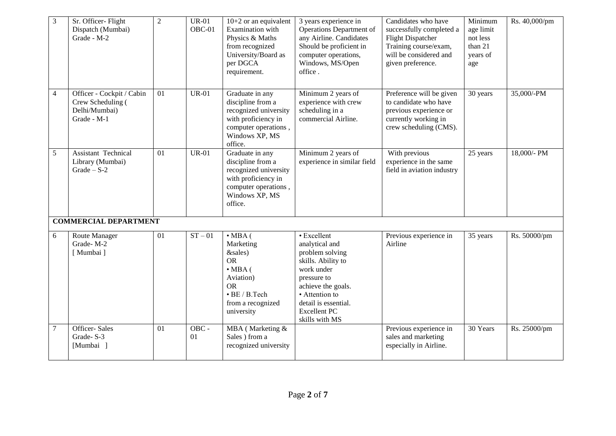| $\mathfrak{Z}$ | Sr. Officer- Flight<br>Dispatch (Mumbai)<br>Grade - M-2                        | $\sqrt{2}$ | $UR-01$<br>OBC-01 | $10+2$ or an equivalent<br>Examination with<br>Physics & Maths<br>from recognized<br>University/Board as<br>per DGCA<br>requirement.              | 3 years experience in<br>Operations Department of<br>any Airline. Candidates<br>Should be proficient in<br>computer operations,<br>Windows, MS/Open<br>office.                                               | Candidates who have<br>successfully completed a<br><b>Flight Dispatcher</b><br>Training course/exam,<br>will be considered and<br>given preference. | Minimum<br>age limit<br>not less<br>than 21<br>years of<br>age | Rs. 40,000/pm |
|----------------|--------------------------------------------------------------------------------|------------|-------------------|---------------------------------------------------------------------------------------------------------------------------------------------------|--------------------------------------------------------------------------------------------------------------------------------------------------------------------------------------------------------------|-----------------------------------------------------------------------------------------------------------------------------------------------------|----------------------------------------------------------------|---------------|
| $\overline{4}$ | Officer - Cockpit / Cabin<br>Crew Scheduling (<br>Delhi/Mumbai)<br>Grade - M-1 | 01         | <b>UR-01</b>      | Graduate in any<br>discipline from a<br>recognized university<br>with proficiency in<br>computer operations,<br>Windows XP, MS<br>office.         | Minimum 2 years of<br>experience with crew<br>scheduling in a<br>commercial Airline.                                                                                                                         | Preference will be given<br>to candidate who have<br>previous experience or<br>currently working in<br>crew scheduling (CMS).                       | 30 years                                                       | 35,000/-PM    |
| 5              | Assistant Technical<br>Library (Mumbai)<br>Grade $-$ S-2                       | 01         | <b>UR-01</b>      | Graduate in any<br>discipline from a<br>recognized university<br>with proficiency in<br>computer operations,<br>Windows XP, MS<br>office.         | Minimum 2 years of<br>experience in similar field                                                                                                                                                            | With previous<br>experience in the same<br>field in aviation industry                                                                               | 25 years                                                       | 18,000/- PM   |
| 6              | <b>COMMERCIAL DEPARTMENT</b><br>Route Manager<br>Grade-M-2<br>[Mumbai]         | 01         | $ST - 01$         | $\cdot$ MBA (<br>Marketing<br>&sales)<br><b>OR</b><br>$\cdot$ MBA (<br>Aviation)<br><b>OR</b><br>· BE / B.Tech<br>from a recognized<br>university | • Excellent<br>analytical and<br>problem solving<br>skills. Ability to<br>work under<br>pressure to<br>achieve the goals.<br>• Attention to<br>detail is essential.<br><b>Excellent PC</b><br>skills with MS | Previous experience in<br>Airline                                                                                                                   | 35 years                                                       | Rs. 50000/pm  |
| $\overline{7}$ | Officer-Sales<br>Grade-S-3<br>[Mumbai ]                                        | 01         | OBC -<br>01       | MBA (Marketing &<br>Sales ) from a<br>recognized university                                                                                       |                                                                                                                                                                                                              | Previous experience in<br>sales and marketing<br>especially in Airline.                                                                             | 30 Years                                                       | Rs. 25000/pm  |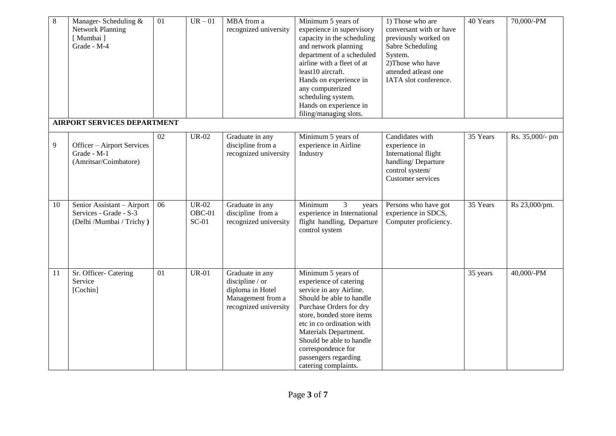| $8\phantom{.}$ | Manager-Scheduling &<br><b>Network Planning</b><br>[Mumbai]<br>Grade - M-4<br><b>AIRPORT SERVICES DEPARTMENT</b> | 01 | $UR - 01$                         | MBA from a<br>recognized university                                                                  | Minimum 5 years of<br>experience in supervisory<br>capacity in the scheduling<br>and network planning<br>department of a scheduled<br>airline with a fleet of at<br>least10 aircraft.<br>Hands on experience in<br>any computerized<br>scheduling system.<br>Hands on experience in<br>filing/managing slots.       | 1) Those who are<br>conversant with or have<br>previously worked on<br>Sabre Scheduling<br>System.<br>2) Those who have<br>attended atleast one<br>IATA slot conference. | 40 Years | 70,000/-PM      |
|----------------|------------------------------------------------------------------------------------------------------------------|----|-----------------------------------|------------------------------------------------------------------------------------------------------|---------------------------------------------------------------------------------------------------------------------------------------------------------------------------------------------------------------------------------------------------------------------------------------------------------------------|--------------------------------------------------------------------------------------------------------------------------------------------------------------------------|----------|-----------------|
|                |                                                                                                                  |    |                                   |                                                                                                      |                                                                                                                                                                                                                                                                                                                     |                                                                                                                                                                          |          |                 |
| 9              | Officer - Airport Services<br>Grade - M-1<br>(Amritsar/Coimbatore)                                               | 02 | <b>UR-02</b>                      | Graduate in any<br>discipline from a<br>recognized university                                        | Minimum 5 years of<br>experience in Airline<br>Industry                                                                                                                                                                                                                                                             | Candidates with<br>experience in<br>International flight<br>handling/Departure<br>control system/<br><b>Customer services</b>                                            | 35 Years | Rs. 35,000/- pm |
| 10             | Senior Assistant - Airport<br>Services - Grade - S-3<br>(Delhi /Mumbai / Trichy)                                 | 06 | <b>UR-02</b><br>OBC-01<br>$SC-01$ | Graduate in any<br>discipline from a<br>recognized university                                        | Minimum<br>3<br>years<br>experience in International<br>flight handling, Departure<br>control system                                                                                                                                                                                                                | Persons who have got<br>experience in SDCS,<br>Computer proficiency.                                                                                                     | 35 Years | Rs 23,000/pm.   |
| 11             | Sr. Officer- Catering<br>Service<br>[Cochin]                                                                     | 01 | $UR-01$                           | Graduate in any<br>discipline / or<br>diploma in Hotel<br>Management from a<br>recognized university | Minimum 5 years of<br>experience of catering<br>service in any Airline.<br>Should be able to handle<br>Purchase Orders for dry<br>store, bonded store items<br>etc in co ordination with<br>Materials Department.<br>Should be able to handle<br>correspondence for<br>passengers regarding<br>catering complaints. |                                                                                                                                                                          | 35 years | 40,000/-PM      |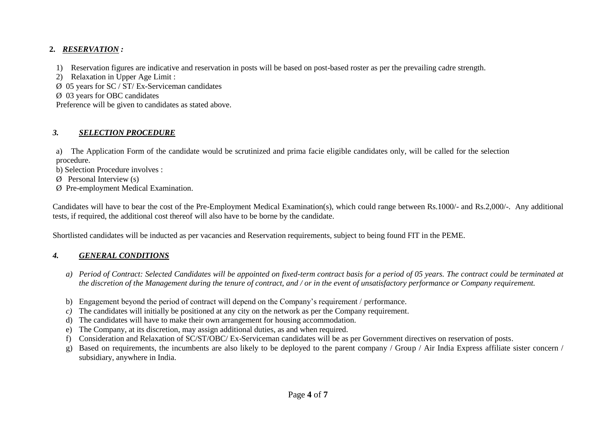### **2.** *RESERVATION :*

- 1) Reservation figures are indicative and reservation in posts will be based on post-based roster as per the prevailing cadre strength.
- 2) Relaxation in Upper Age Limit :

 $\varnothing$  05 years for SC / ST/ Ex-Serviceman candidates

Ø 03 years for OBC candidates

Preference will be given to candidates as stated above.

# *3. SELECTION PROCEDURE*

a) The Application Form of the candidate would be scrutinized and prima facie eligible candidates only, will be called for the selection procedure.

b) Selection Procedure involves :

 $\emptyset$  Personal Interview (s)

Ø Pre-employment Medical Examination.

Candidates will have to bear the cost of the Pre-Employment Medical Examination(s), which could range between Rs.1000/- and Rs.2,000/-. Any additional tests, if required, the additional cost thereof will also have to be borne by the candidate*.*

Shortlisted candidates will be inducted as per vacancies and Reservation requirements, subject to being found FIT in the PEME.

# *4. GENERAL CONDITIONS*

- *a) Period of Contract: Selected Candidates will be appointed on fixed-term contract basis for a period of 05 years. The contract could be terminated at the discretion of the Management during the tenure of contract, and / or in the event of unsatisfactory performance or Company requirement.*
- b) Engagement beyond the period of contract will depend on the Company's requirement / performance.
- *c)* The candidates will initially be positioned at any city on the network as per the Company requirement.
- d) The candidates will have to make their own arrangement for housing accommodation.
- e) The Company, at its discretion, may assign additional duties, as and when required.
- f) Consideration and Relaxation of SC/ST/OBC/ Ex-Serviceman candidates will be as per Government directives on reservation of posts.
- g) Based on requirements, the incumbents are also likely to be deployed to the parent company / Group / Air India Express affiliate sister concern / subsidiary, anywhere in India.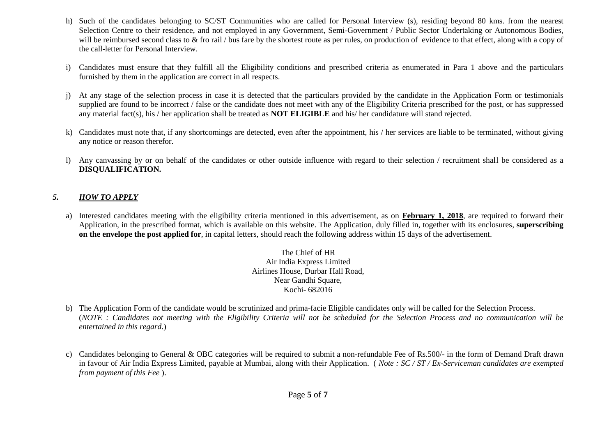- h) Such of the candidates belonging to SC/ST Communities who are called for Personal Interview (s), residing beyond 80 kms. from the nearest Selection Centre to their residence, and not employed in any Government, Semi-Government / Public Sector Undertaking or Autonomous Bodies, will be reimbursed second class to  $\&$  fro rail / bus fare by the shortest route as per rules, on production of evidence to that effect, along with a copy of the call-letter for Personal Interview.
- i) Candidates must ensure that they fulfill all the Eligibility conditions and prescribed criteria as enumerated in Para 1 above and the particulars furnished by them in the application are correct in all respects.
- j) At any stage of the selection process in case it is detected that the particulars provided by the candidate in the Application Form or testimonials supplied are found to be incorrect / false or the candidate does not meet with any of the Eligibility Criteria prescribed for the post, or has suppressed any material fact(s), his / her application shall be treated as **NOT ELIGIBLE** and his/ her candidature will stand rejected.
- k) Candidates must note that, if any shortcomings are detected, even after the appointment, his / her services are liable to be terminated, without giving any notice or reason therefor.
- l) Any canvassing by or on behalf of the candidates or other outside influence with regard to their selection / recruitment shall be considered as a **DISQUALIFICATION.**

#### *5. HOW TO APPLY*

a) Interested candidates meeting with the eligibility criteria mentioned in this advertisement, as on **February 1, 2018**, are required to forward their Application, in the prescribed format, which is available on this website. The Application, duly filled in, together with its enclosures, **superscribing on the envelope the post applied for**, in capital letters, should reach the following address within 15 days of the advertisement.

> The Chief of HR Air India Express Limited Airlines House, Durbar Hall Road, Near Gandhi Square, Kochi- 682016

- b) The Application Form of the candidate would be scrutinized and prima-facie Eligible candidates only will be called for the Selection Process. (*NOTE : Candidates not meeting with the Eligibility Criteria will not be scheduled for the Selection Process and no communication will be entertained in this regard*.)
- c) Candidates belonging to General & OBC categories will be required to submit a non-refundable Fee of Rs.500/- in the form of Demand Draft drawn in favour of Air India Express Limited, payable at Mumbai, along with their Application. ( *Note : SC / ST / Ex-Serviceman candidates are exempted from payment of this Fee* ).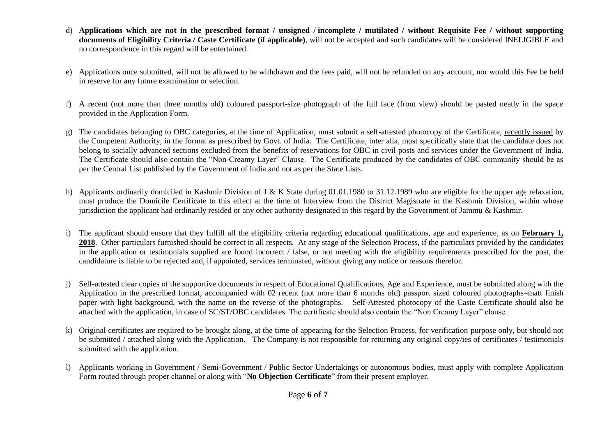- d) **Applications which are not in the prescribed format / unsigned / incomplete / mutilated / without Requisite Fee / without supporting documents of Eligibility Criteria / Caste Certificate (if applicable)**, will not be accepted and such candidates will be considered INELIGIBLE and no correspondence in this regard will be entertained.
- e) Applications once submitted, will not be allowed to be withdrawn and the fees paid, will not be refunded on any account, nor would this Fee be held in reserve for any future examination or selection.
- f) A recent (not more than three months old) coloured passport-size photograph of the full face (front view) should be pasted neatly in the space provided in the Application Form.
- g) The candidates belonging to OBC categories, at the time of Application, must submit a self-attested photocopy of the Certificate, recently issued by the Competent Authority, in the format as prescribed by Govt. of India. The Certificate, inter alia, must specifically state that the candidate does not belong to socially advanced sections excluded from the benefits of reservations for OBC in civil posts and services under the Government of India. The Certificate should also contain the "Non-Creamy Layer" Clause. The Certificate produced by the candidates of OBC community should be as per the Central List published by the Government of India and not as per the State Lists.
- h) Applicants ordinarily domiciled in Kashmir Division of J & K State during 01.01.1980 to 31.12.1989 who are eligible for the upper age relaxation, must produce the Domicile Certificate to this effect at the time of Interview from the District Magistrate in the Kashmir Division, within whose jurisdiction the applicant had ordinarily resided or any other authority designated in this regard by the Government of Jammu & Kashmir.
- i) The applicant should ensure that they fulfill all the eligibility criteria regarding educational qualifications, age and experience, as on **February 1, 2018**. Other particulars furnished should be correct in all respects. At any stage of the Selection Process, if the particulars provided by the candidates in the application or testimonials supplied are found incorrect / false, or not meeting with the eligibility requirements prescribed for the post, the candidature is liable to be rejected and, if appointed, services terminated, without giving any notice or reasons therefor.
- j) Self-attested clear copies of the supportive documents in respect of Educational Qualifications, Age and Experience, must be submitted along with the Application in the prescribed format, accompanied with 02 recent (not more than 6 months old) passport sized coloured photographs–matt finish paper with light background, with the name on the reverse of the photographs. Self-Attested photocopy of the Caste Certificate should also be attached with the application, in case of SC/ST/OBC candidates. The certificate should also contain the "Non Creamy Layer" clause.
- k) Original certificates are required to be brought along, at the time of appearing for the Selection Process, for verification purpose only, but should not be submitted / attached along with the Application. The Company is not responsible for returning any original copy/ies of certificates / testimonials submitted with the application.
- l) Applicants working in Government / Semi-Government / Public Sector Undertakings or autonomous bodies, must apply with complete Application Form routed through proper channel or along with "**No Objection Certificate**" from their present employer.